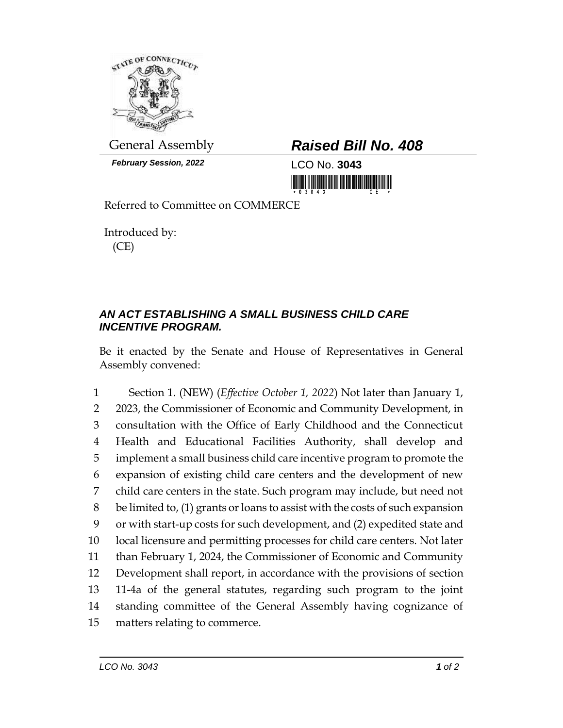

*February Session, 2022* LCO No. **3043**

## General Assembly *Raised Bill No. 408*

<u> III MARIJI MATIJI MATIJI MATIJI MATIJI MATIJI MATIJI MATIJI MATIJI MATIJI MATIJI MATIJI MATIJI MATIJI MATIJI M</u>

Referred to Committee on COMMERCE

Introduced by: (CE)

## *AN ACT ESTABLISHING A SMALL BUSINESS CHILD CARE INCENTIVE PROGRAM.*

Be it enacted by the Senate and House of Representatives in General Assembly convened:

 Section 1. (NEW) (*Effective October 1, 2022*) Not later than January 1, 2023, the Commissioner of Economic and Community Development, in consultation with the Office of Early Childhood and the Connecticut Health and Educational Facilities Authority, shall develop and implement a small business child care incentive program to promote the expansion of existing child care centers and the development of new child care centers in the state. Such program may include, but need not be limited to, (1) grants or loans to assist with the costs of such expansion or with start-up costs for such development, and (2) expedited state and local licensure and permitting processes for child care centers. Not later than February 1, 2024, the Commissioner of Economic and Community Development shall report, in accordance with the provisions of section 11-4a of the general statutes, regarding such program to the joint standing committee of the General Assembly having cognizance of matters relating to commerce.